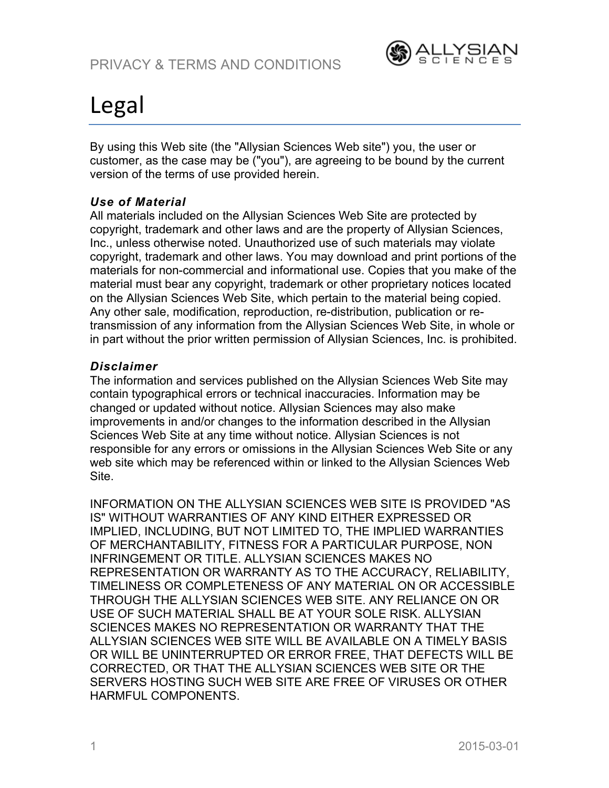

## Legal

By using this Web site (the "Allysian Sciences Web site") you, the user or customer, as the case may be ("you"), are agreeing to be bound by the current version of the terms of use provided herein.

#### *Use of Material*

All materials included on the Allysian Sciences Web Site are protected by copyright, trademark and other laws and are the property of Allysian Sciences, Inc., unless otherwise noted. Unauthorized use of such materials may violate copyright, trademark and other laws. You may download and print portions of the materials for non-commercial and informational use. Copies that you make of the material must bear any copyright, trademark or other proprietary notices located on the Allysian Sciences Web Site, which pertain to the material being copied. Any other sale, modification, reproduction, re-distribution, publication or retransmission of any information from the Allysian Sciences Web Site, in whole or in part without the prior written permission of Allysian Sciences, Inc. is prohibited.

#### *Disclaimer*

The information and services published on the Allysian Sciences Web Site may contain typographical errors or technical inaccuracies. Information may be changed or updated without notice. Allysian Sciences may also make improvements in and/or changes to the information described in the Allysian Sciences Web Site at any time without notice. Allysian Sciences is not responsible for any errors or omissions in the Allysian Sciences Web Site or any web site which may be referenced within or linked to the Allysian Sciences Web Site.

INFORMATION ON THE ALLYSIAN SCIENCES WEB SITE IS PROVIDED "AS IS" WITHOUT WARRANTIES OF ANY KIND EITHER EXPRESSED OR IMPLIED, INCLUDING, BUT NOT LIMITED TO, THE IMPLIED WARRANTIES OF MERCHANTABILITY, FITNESS FOR A PARTICULAR PURPOSE, NON INFRINGEMENT OR TITLE. ALLYSIAN SCIENCES MAKES NO REPRESENTATION OR WARRANTY AS TO THE ACCURACY, RELIABILITY, TIMELINESS OR COMPLETENESS OF ANY MATERIAL ON OR ACCESSIBLE THROUGH THE ALLYSIAN SCIENCES WEB SITE. ANY RELIANCE ON OR USE OF SUCH MATERIAL SHALL BE AT YOUR SOLE RISK. ALLYSIAN SCIENCES MAKES NO REPRESENTATION OR WARRANTY THAT THE ALLYSIAN SCIENCES WEB SITE WILL BE AVAILABLE ON A TIMELY BASIS OR WILL BE UNINTERRUPTED OR ERROR FREE, THAT DEFECTS WILL BE CORRECTED, OR THAT THE ALLYSIAN SCIENCES WEB SITE OR THE SERVERS HOSTING SUCH WEB SITE ARE FREE OF VIRUSES OR OTHER HARMFUL COMPONENTS.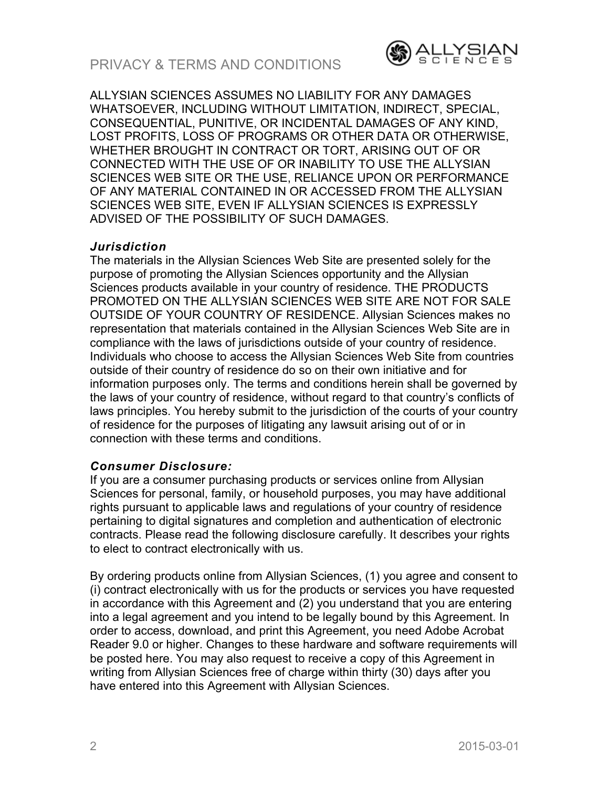### PRIVACY & TERMS AND CONDITIONS



ALLYSIAN SCIENCES ASSUMES NO LIABILITY FOR ANY DAMAGES WHATSOEVER, INCLUDING WITHOUT LIMITATION, INDIRECT, SPECIAL, CONSEQUENTIAL, PUNITIVE, OR INCIDENTAL DAMAGES OF ANY KIND, LOST PROFITS, LOSS OF PROGRAMS OR OTHER DATA OR OTHERWISE, WHETHER BROUGHT IN CONTRACT OR TORT, ARISING OUT OF OR CONNECTED WITH THE USE OF OR INABILITY TO USE THE ALLYSIAN SCIENCES WEB SITE OR THE USE, RELIANCE UPON OR PERFORMANCE OF ANY MATERIAL CONTAINED IN OR ACCESSED FROM THE ALLYSIAN SCIENCES WEB SITE, EVEN IF ALLYSIAN SCIENCES IS EXPRESSLY ADVISED OF THE POSSIBILITY OF SUCH DAMAGES.

#### *Jurisdiction*

The materials in the Allysian Sciences Web Site are presented solely for the purpose of promoting the Allysian Sciences opportunity and the Allysian Sciences products available in your country of residence. THE PRODUCTS PROMOTED ON THE ALLYSIAN SCIENCES WEB SITE ARE NOT FOR SALE OUTSIDE OF YOUR COUNTRY OF RESIDENCE. Allysian Sciences makes no representation that materials contained in the Allysian Sciences Web Site are in compliance with the laws of jurisdictions outside of your country of residence. Individuals who choose to access the Allysian Sciences Web Site from countries outside of their country of residence do so on their own initiative and for information purposes only. The terms and conditions herein shall be governed by the laws of your country of residence, without regard to that country's conflicts of laws principles. You hereby submit to the jurisdiction of the courts of your country of residence for the purposes of litigating any lawsuit arising out of or in connection with these terms and conditions.

#### *Consumer Disclosure:*

If you are a consumer purchasing products or services online from Allysian Sciences for personal, family, or household purposes, you may have additional rights pursuant to applicable laws and regulations of your country of residence pertaining to digital signatures and completion and authentication of electronic contracts. Please read the following disclosure carefully. It describes your rights to elect to contract electronically with us.

By ordering products online from Allysian Sciences, (1) you agree and consent to (i) contract electronically with us for the products or services you have requested in accordance with this Agreement and (2) you understand that you are entering into a legal agreement and you intend to be legally bound by this Agreement. In order to access, download, and print this Agreement, you need Adobe Acrobat Reader 9.0 or higher. Changes to these hardware and software requirements will be posted here. You may also request to receive a copy of this Agreement in writing from Allysian Sciences free of charge within thirty (30) days after you have entered into this Agreement with Allysian Sciences.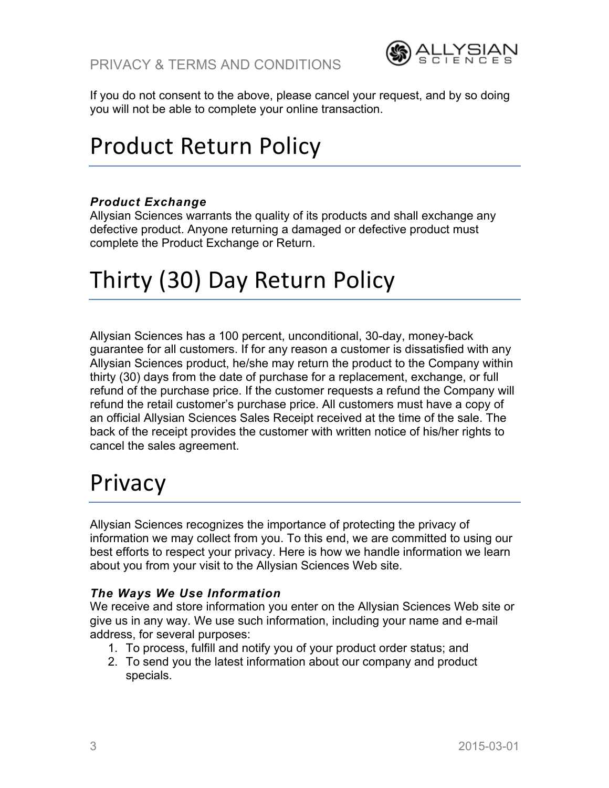

If you do not consent to the above, please cancel your request, and by so doing you will not be able to complete your online transaction.

## **Product Return Policy**

#### *Product Exchange*

Allysian Sciences warrants the quality of its products and shall exchange any defective product. Anyone returning a damaged or defective product must complete the Product Exchange or Return.

## Thirty (30) Day Return Policy

Allysian Sciences has a 100 percent, unconditional, 30-day, money-back guarantee for all customers. If for any reason a customer is dissatisfied with any Allysian Sciences product, he/she may return the product to the Company within thirty (30) days from the date of purchase for a replacement, exchange, or full refund of the purchase price. If the customer requests a refund the Company will refund the retail customer's purchase price. All customers must have a copy of an official Allysian Sciences Sales Receipt received at the time of the sale. The back of the receipt provides the customer with written notice of his/her rights to cancel the sales agreement.

## Privacy

Allysian Sciences recognizes the importance of protecting the privacy of information we may collect from you. To this end, we are committed to using our best efforts to respect your privacy. Here is how we handle information we learn about you from your visit to the Allysian Sciences Web site.

#### *The Ways We Use Information*

We receive and store information you enter on the Allysian Sciences Web site or give us in any way. We use such information, including your name and e-mail address, for several purposes:

- 1. To process, fulfill and notify you of your product order status; and
- 2. To send you the latest information about our company and product specials.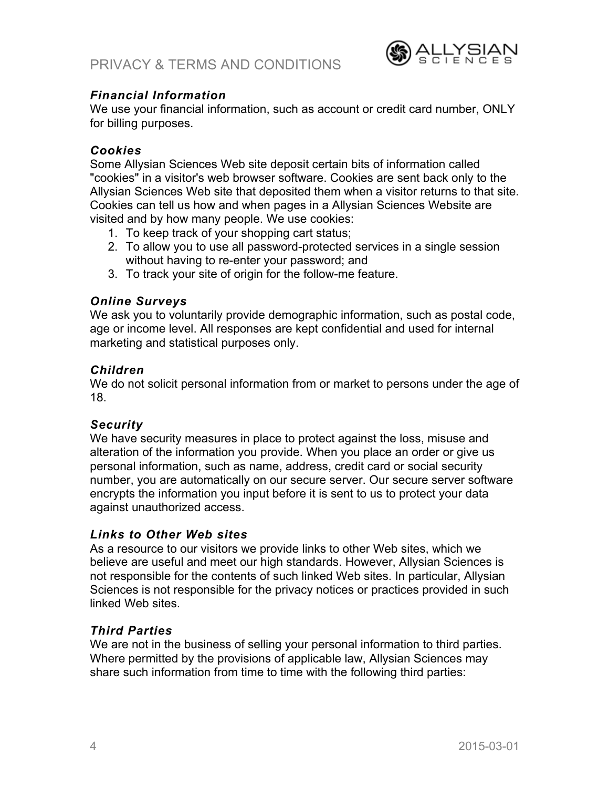

#### *Financial Information*

We use your financial information, such as account or credit card number, ONLY for billing purposes.

#### *Cookies*

Some Allysian Sciences Web site deposit certain bits of information called "cookies" in a visitor's web browser software. Cookies are sent back only to the Allysian Sciences Web site that deposited them when a visitor returns to that site. Cookies can tell us how and when pages in a Allysian Sciences Website are visited and by how many people. We use cookies:

- 1. To keep track of your shopping cart status;
- 2. To allow you to use all password-protected services in a single session without having to re-enter your password; and
- 3. To track your site of origin for the follow-me feature.

#### *Online Surveys*

We ask you to voluntarily provide demographic information, such as postal code, age or income level. All responses are kept confidential and used for internal marketing and statistical purposes only.

#### *Children*

We do not solicit personal information from or market to persons under the age of 18.

#### *Security*

We have security measures in place to protect against the loss, misuse and alteration of the information you provide. When you place an order or give us personal information, such as name, address, credit card or social security number, you are automatically on our secure server. Our secure server software encrypts the information you input before it is sent to us to protect your data against unauthorized access.

#### *Links to Other Web sites*

As a resource to our visitors we provide links to other Web sites, which we believe are useful and meet our high standards. However, Allysian Sciences is not responsible for the contents of such linked Web sites. In particular, Allysian Sciences is not responsible for the privacy notices or practices provided in such linked Web sites.

#### *Third Parties*

We are not in the business of selling your personal information to third parties. Where permitted by the provisions of applicable law, Allysian Sciences may share such information from time to time with the following third parties: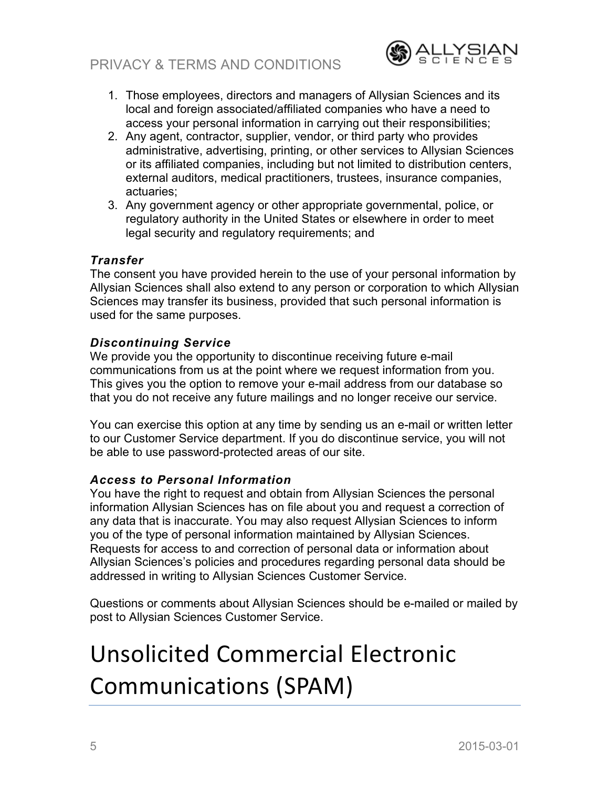### PRIVACY & TERMS AND CONDITIONS



- 1. Those employees, directors and managers of Allysian Sciences and its local and foreign associated/affiliated companies who have a need to access your personal information in carrying out their responsibilities;
- 2. Any agent, contractor, supplier, vendor, or third party who provides administrative, advertising, printing, or other services to Allysian Sciences or its affiliated companies, including but not limited to distribution centers, external auditors, medical practitioners, trustees, insurance companies, actuaries;
- 3. Any government agency or other appropriate governmental, police, or regulatory authority in the United States or elsewhere in order to meet legal security and regulatory requirements; and

#### *Transfer*

The consent you have provided herein to the use of your personal information by Allysian Sciences shall also extend to any person or corporation to which Allysian Sciences may transfer its business, provided that such personal information is used for the same purposes.

#### *Discontinuing Service*

We provide you the opportunity to discontinue receiving future e-mail communications from us at the point where we request information from you. This gives you the option to remove your e-mail address from our database so that you do not receive any future mailings and no longer receive our service.

You can exercise this option at any time by sending us an e-mail or written letter to our Customer Service department. If you do discontinue service, you will not be able to use password-protected areas of our site.

#### *Access to Personal Information*

You have the right to request and obtain from Allysian Sciences the personal information Allysian Sciences has on file about you and request a correction of any data that is inaccurate. You may also request Allysian Sciences to inform you of the type of personal information maintained by Allysian Sciences. Requests for access to and correction of personal data or information about Allysian Sciences's policies and procedures regarding personal data should be addressed in writing to Allysian Sciences Customer Service.

Questions or comments about Allysian Sciences should be e-mailed or mailed by post to Allysian Sciences Customer Service.

# Unsolicited Commercial Electronic Communications (SPAM)